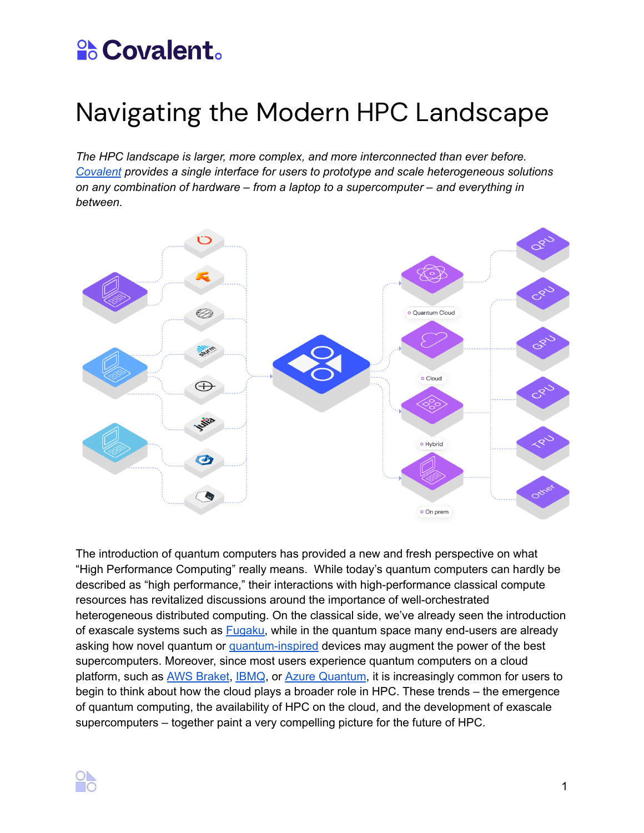## **Scovalent.**

## Navigating the Modern HPC Landscape

*The HPC landscape is larger, more complex, and more interconnected than ever before. [Covalent](https://www.covalent.xyz/) provides a single interface for users to prototype and scale heterogeneous solutions on any combination of hardware – from a laptop to a supercomputer – and everything in between.*



The introduction of quantum computers has provided a new and fresh perspective on what "High Performance Computing" really means. While today's quantum computers can hardly be described as "high performance," their interactions with high-performance classical compute resources has revitalized discussions around the importance of well-orchestrated heterogeneous distributed computing. On the classical side, we've already seen the introduction of exascale systems such as **Fugaku**, while in the quantum space many end-users are already asking how novel quantum or [quantum-inspired](https://www.global.toshiba/ww/products-solutions/ai-iot/sbm.html) devices may augment the power of the best supercomputers. Moreover, since most users experience quantum computers on a cloud platform, such as AWS [Braket](https://aws.amazon.com/braket/), [IBMQ](https://quantum-computing.ibm.com/), or Azure [Quantum](https://azure.microsoft.com/en-us/services/quantum/), it is increasingly common for users to begin to think about how the cloud plays a broader role in HPC. These trends – the emergence of quantum computing, the availability of HPC on the cloud, and the development of exascale supercomputers – together paint a very compelling picture for the future of HPC.

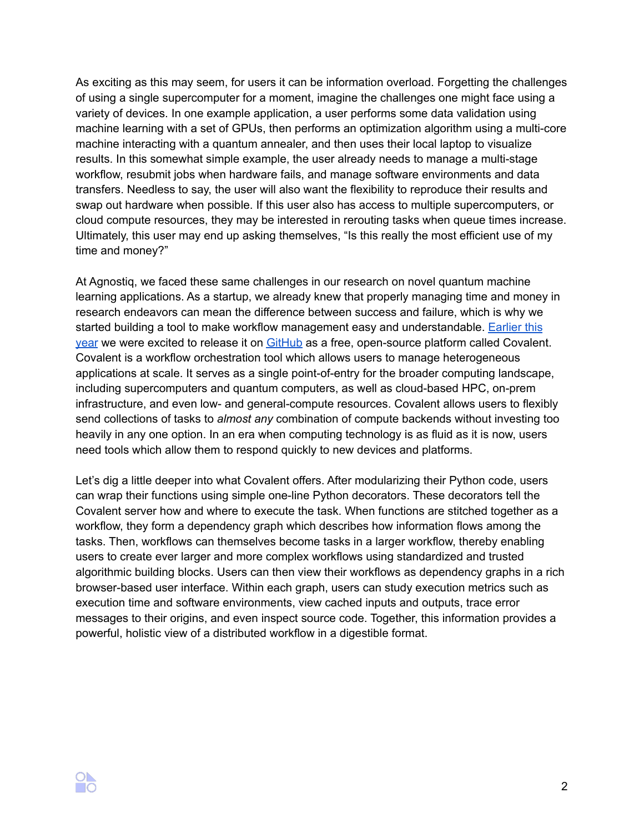As exciting as this may seem, for users it can be information overload. Forgetting the challenges of using a single supercomputer for a moment, imagine the challenges one might face using a variety of devices. In one example application, a user performs some data validation using machine learning with a set of GPUs, then performs an optimization algorithm using a multi-core machine interacting with a quantum annealer, and then uses their local laptop to visualize results. In this somewhat simple example, the user already needs to manage a multi-stage workflow, resubmit jobs when hardware fails, and manage software environments and data transfers. Needless to say, the user will also want the flexibility to reproduce their results and swap out hardware when possible. If this user also has access to multiple supercomputers, or cloud compute resources, they may be interested in rerouting tasks when queue times increase. Ultimately, this user may end up asking themselves, "Is this really the most efficient use of my time and money?"

At Agnostiq, we faced these same challenges in our research on novel quantum machine learning applications. As a startup, we already knew that properly managing time and money in research endeavors can mean the difference between success and failure, which is why we started building a tool to make workflow management easy and understandable. [Earlier](https://www.hpcwire.com/off-the-wire/agnostiq-releases-covalent/) this [year](https://www.hpcwire.com/off-the-wire/agnostiq-releases-covalent/) we were excited to release it on [GitHub](https://github.com/AgnostiqHQ/covalent/) as a free, open-source platform called Covalent. Covalent is a workflow orchestration tool which allows users to manage heterogeneous applications at scale. It serves as a single point-of-entry for the broader computing landscape, including supercomputers and quantum computers, as well as cloud-based HPC, on-prem infrastructure, and even low- and general-compute resources. Covalent allows users to flexibly send collections of tasks to *almost any* combination of compute backends without investing too heavily in any one option. In an era when computing technology is as fluid as it is now, users need tools which allow them to respond quickly to new devices and platforms.

Let's dig a little deeper into what Covalent offers. After modularizing their Python code, users can wrap their functions using simple one-line Python decorators. These decorators tell the Covalent server how and where to execute the task. When functions are stitched together as a workflow, they form a dependency graph which describes how information flows among the tasks. Then, workflows can themselves become tasks in a larger workflow, thereby enabling users to create ever larger and more complex workflows using standardized and trusted algorithmic building blocks. Users can then view their workflows as dependency graphs in a rich browser-based user interface. Within each graph, users can study execution metrics such as execution time and software environments, view cached inputs and outputs, trace error messages to their origins, and even inspect source code. Together, this information provides a powerful, holistic view of a distributed workflow in a digestible format.